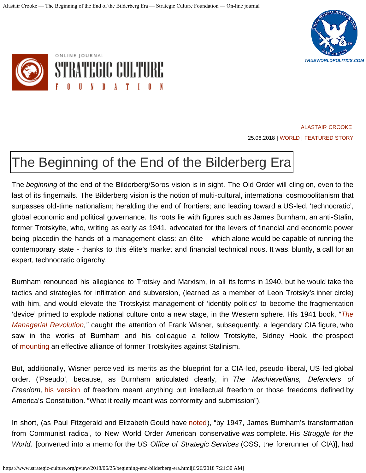



[ALASTAIR CROOKE](https://www.strategic-culture.org/authors/alastair-crooke.html) 25.06.2018 | [WORLD](https://www.strategic-culture.org/rubrics/politics.html) | [FEATURED STORY](https://www.strategic-culture.org/rubrics/opinion.html)

## [The Beginning of the End of the Bilderberg Era](https://www.strategic-culture.org/news/2018/06/25/beginning-end-bilderberg-era.html)

The *beginning* of the end of the Bilderberg/Soros vision is in sight. The Old Order will cling on, even to the last of its fingernails. The Bilderberg vision is the notion of multi-cultural, international cosmopolitanism that surpasses old-time nationalism; heralding the end of frontiers; and leading toward a US-led, 'technocratic', global economic and political governance. Its roots lie with figures such as James Burnham, an anti-Stalin, former Trotskyite, who, writing as early as 1941, advocated for the levers of financial and economic power being placedin the hands of a management class: an élite – which alone would be capable of running the contemporary state - thanks to this élite's market and financial technical nous. It was, bluntly, a call for an expert, technocratic oligarchy.

Burnham renounced his allegiance to Trotsky and Marxism, in all its forms in 1940, but he would take the tactics and strategies for infiltration and subversion, (learned as a member of Leon Trotsky's inner circle) with him, and would elevate the Trotskyist management of 'identity politics' to become the fragmentation 'device' primed to explode national culture onto a new stage, in the Western sphere. His 1941 book, *"[The](https://www.amazon.com/Managerial-Revolution-What-Happening-World/dp/0837156785) [Managerial Revolution,](https://www.amazon.com/Managerial-Revolution-What-Happening-World/dp/0837156785)"* caught the attention of Frank Wisner, subsequently, a legendary CIA figure, who saw in the works of Burnham and his colleague a fellow Trotskyite, Sidney Hook, the prospect of [mounting](https://www.taylorfrancis.com/books/9781317365334/chapters/10.4324%2F9781315669847-17) an effective alliance of former Trotskyites against Stalinism.

But, additionally, Wisner perceived its merits as the blueprint for a CIA-led, pseudo-liberal, US-led global order. ('Pseudo', because, as Burnham articulated clearly, in *The Machiavellians, Defenders of Freedom,* [his version](https://www.truthdig.com/articles/how-the-cia-created-a-fake-western-reality-for-unconventional-warfare/) of freedom meant anything but intellectual freedom or those freedoms defined by America's Constitution. "What it really meant was conformity and submission").

In short, (as Paul Fitzgerald and Elizabeth Gould have [noted\)](https://www.truthdig.com/articles/how-the-cia-created-a-fake-western-reality-for-unconventional-warfare/), "by 1947, James Burnham's transformation from Communist radical, to New World Order American conservative was complete. His *Struggle for the World,* [converted into a memo for the *US Office of Strategic Services* (OSS, the forerunner of CIA)], had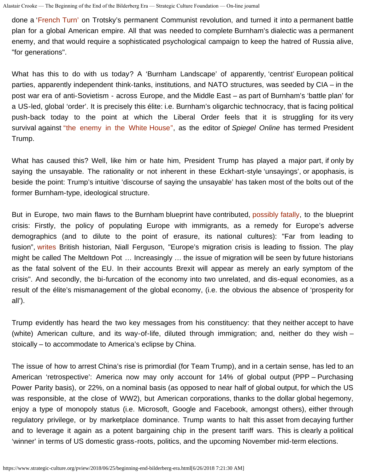done a '[French Turn'](https://en.wikipedia.org/wiki/French_Turn) on Trotsky's permanent Communist revolution, and turned it into a permanent battle plan for a global American empire. All that was needed to complete Burnham's dialectic was a permanent enemy, and that would require a sophisticated psychological campaign to keep the hatred of Russia alive, "for generations".

What has this to do with us today? A 'Burnham Landscape' of apparently, 'centrist' European political parties, apparently independent think-tanks, institutions, and NATO structures, was seeded by CIA – in the post war era of anti-Sovietism - across Europe, and the Middle East – as part of Burnham's 'battle plan' for a US-led, global 'order'. It is precisely this élite: i.e. Burnham's oligarchic technocracy, that is facing political push-back today to the point at which the Liberal Order feels that it is struggling for its very survival against ["the enemy in the White House",](http://www.spiegel.de/international/world/donald-trump-s-attacks-on-germany-the-enemy-in-the-white-house-a-1214058.html) as the editor of *Spiegel Online* has termed President Trump.

What has caused this? Well, like him or hate him, President Trump has played a major part, if only by saying the unsayable. The rationality or not inherent in these Eckhart-style 'unsayings', or apophasis, is beside the point: Trump's intuitive 'discourse of saying the unsayable' has taken most of the bolts out of the former Burnham-type, ideological structure.

But in Europe, two main flaws to the Burnham blueprint have contributed, [possibly fatally,](https://www.thetimes.co.uk/article/the-eu-melting-pot-is-melting-down-hfw3975q8?shareToken=4b0b036b362aca91d0aae641055fc55c) to the blueprint crisis: Firstly, the policy of populating Europe with immigrants, as a remedy for Europe's adverse demographics (and to dilute to the point of erasure, its national cultures): "Far from leading to fusion", [writes](https://www.thetimes.co.uk/article/the-eu-melting-pot-is-melting-down-hfw3975q8?shareToken=4b0b036b362aca91d0aae641055fc55c) British historian, Niall Ferguson, "Europe's migration crisis is leading to fission. The play might be called The Meltdown Pot … Increasingly … the issue of migration will be seen by future historians as the fatal solvent of the EU. In their accounts Brexit will appear as merely an early symptom of the crisis". And secondly, the bi-furcation of the economy into two unrelated, and dis-equal economies, as a result of the élite's mismanagement of the global economy, (i.e. the obvious the absence of 'prosperity for all').

Trump evidently has heard the two key messages from his constituency: that they neither accept to have (white) American culture, and its way-of-life, diluted through immigration; and, neither do they wish – stoically – to accommodate to America's eclipse by China.

The issue of how to arrest China's rise is primordial (for Team Trump), and in a certain sense, has led to an American 'retrospective': America now may only account for 14% of global output (PPP – Purchasing Power Parity basis), or 22%, on a nominal basis (as opposed to near half of global output, for which the US was responsible, at the close of WW2), but American corporations, thanks to the dollar global hegemony, enjoy a type of monopoly status (i.e. Microsoft, Google and Facebook, amongst others), either through regulatory privilege, or by marketplace dominance. Trump wants to halt this asset from decaying further and to leverage it again as a potent bargaining chip in the present tariff wars. This is clearly a political 'winner' in terms of US domestic grass-roots, politics, and the upcoming November mid-term elections.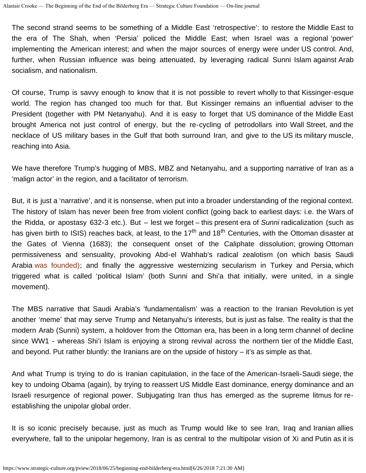The second strand seems to be something of a Middle East 'retrospective': to restore the Middle East to the era of The Shah, when 'Persia' policed the Middle East; when Israel was a regional 'power' implementing the American interest; and when the major sources of energy were under US control. And, further, when Russian influence was being attenuated, by leveraging radical Sunni Islam against Arab socialism, and nationalism.

Of course, Trump is savvy enough to know that it is not possible to revert wholly to that Kissinger-esque world. The region has changed too much for that. But Kissinger remains an influential adviser to the President (together with PM Netanyahu). And it is easy to forget that US dominance of the Middle East brought America not just control of energy, but the re-cycling of petrodollars into Wall Street, and the necklace of US military bases in the Gulf that both surround Iran, and give to the US its military muscle, reaching into Asia.

We have therefore Trump's hugging of MBS, MBZ and Netanyahu, and a supporting narrative of Iran as a 'malign actor' in the region, and a facilitator of terrorism.

But, it is just a 'narrative', and it is nonsense, when put into a broader understanding of the regional context. The history of Islam has never been free from violent conflict (going back to earliest days: i.e. the Wars of the Ridda, or apostasy 632-3 etc.). But – lest we forget – this present era of *Sunni* radicalization (such as has given birth to ISIS) reaches back, at least, to the 17<sup>th</sup> and 18<sup>th</sup> Centuries, with the Ottoman disaster at the Gates of Vienna (1683); the consequent onset of the Caliphate dissolution; growing Ottoman permissiveness and sensuality, provoking Abd-el Wahhab's radical zealotism (on which basis Saudi Arabia [was founded\);](https://www.huffingtonpost.com/entry/isis-wahhabism-saudi-arabia_b_5717157.html) and finally the aggressive westernizing secularism in Turkey and Persia, which triggered what is called 'political Islam' (both Sunni and Shi'a that initially, were united, in a single movement).

The MBS narrative that Saudi Arabia's 'fundamentalism' was a reaction to the Iranian Revolution is yet another 'meme' that may serve Trump and Netanyahu's interests, but is just as false. The reality is that the modern Arab (Sunni) system, a holdover from the Ottoman era, has been in a long term channel of decline since WW1 - whereas Shi'i Islam is enjoying a strong revival across the northern tier of the Middle East, and beyond. Put rather bluntly: the Iranians are on the upside of history – it's as simple as that.

And what Trump is trying to do is Iranian capitulation, in the face of the American-Israeli-Saudi siege, the key to undoing Obama (again), by trying to reassert US Middle East dominance, energy dominance and an Israeli resurgence of regional power. Subjugating Iran thus has emerged as the supreme litmus for reestablishing the unipolar global order.

It is so iconic precisely because, just as much as Trump would like to see Iran, Iraq and Iranian allies everywhere, fall to the unipolar hegemony, Iran is as central to the multipolar vision of Xi and Putin as it is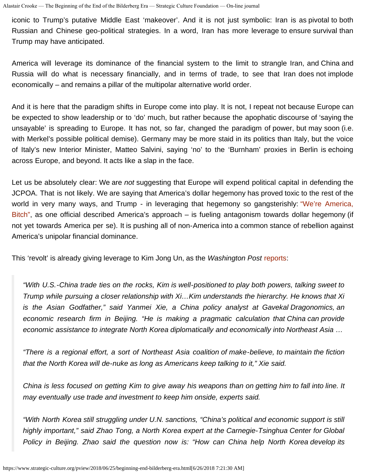iconic to Trump's putative Middle East 'makeover'. And it is not just symbolic: Iran is as pivotal to both Russian and Chinese geo-political strategies. In a word, Iran has more leverage to ensure survival than Trump may have anticipated.

America will leverage its dominance of the financial system to the limit to strangle Iran, and China and Russia will do what is necessary financially, and in terms of trade, to see that Iran does not implode economically – and remains a pillar of the multipolar alternative world order.

And it is here that the paradigm shifts in Europe come into play. It is not, I repeat not because Europe can be expected to show leadership or to 'do' much, but rather because the apophatic discourse of 'saying the unsayable' is spreading to Europe. It has not, so far, changed the paradigm of power, but may soon (i.e. with Merkel's possible political demise). Germany may be more staid in its politics than Italy, but the voice of Italy's new Interior Minister, Matteo Salvini, saying 'no' to the 'Burnham' proxies in Berlin is echoing across Europe, and beyond. It acts like a slap in the face.

Let us be absolutely clear: We are *not* suggesting that Europe will expend political capital in defending the JCPOA. That is not likely. We are saying that America's dollar hegemony has proved toxic to the rest of the world in very many ways, and Trump - in leveraging that hegemony so gangsterishly: ["We're America,](https://www.theatlantic.com/politics/archive/2018/06/a-senior-white-house-official-defines-the-trump-doctrine-were-america-bitch/562511/) [Bitch",](https://www.theatlantic.com/politics/archive/2018/06/a-senior-white-house-official-defines-the-trump-doctrine-were-america-bitch/562511/) as one official described America's approach – is fueling antagonism towards dollar hegemony (if not yet towards America per se). It is pushing all of non-America into a common stance of rebellion against America's unipolar financial dominance.

This 'revolt' is already giving leverage to Kim Jong Un, as the *Washington Post* [reports:](https://www.washingtonpost.com/world/kim-jong-un-makes-third-visit-to-china/2018/06/18/671e4e48-7368-11e8-be2f-d40578877b7b_story.html?utm_term=.02ea01243c48)

*"With U.S.-China trade ties on the rocks, Kim is well-positioned to play both powers, talking sweet to Trump while pursuing a closer relationship with Xi…Kim understands the hierarchy. He knows that Xi is the Asian Godfather," said Yanmei Xie, a China policy analyst at Gavekal Dragonomics, an economic research firm in Beijing. "He is making a pragmatic calculation that China can provide economic assistance to integrate North Korea diplomatically and economically into Northeast Asia …*

*"There is a regional effort, a sort of Northeast Asia coalition of make-believe, to maintain the fiction that the North Korea will de-nuke as long as Americans keep talking to it," Xie said.*

*China is less focused on getting Kim to give away his weapons than on getting him to fall into line. It may eventually use trade and investment to keep him onside, experts said.*

*"With North Korea still struggling under U.N. sanctions, "China's political and economic support is still highly important," said Zhao Tong, a North Korea expert at the Carnegie-Tsinghua Center for Global Policy in Beijing. Zhao said the question now is: "How can China help North Korea develop its*